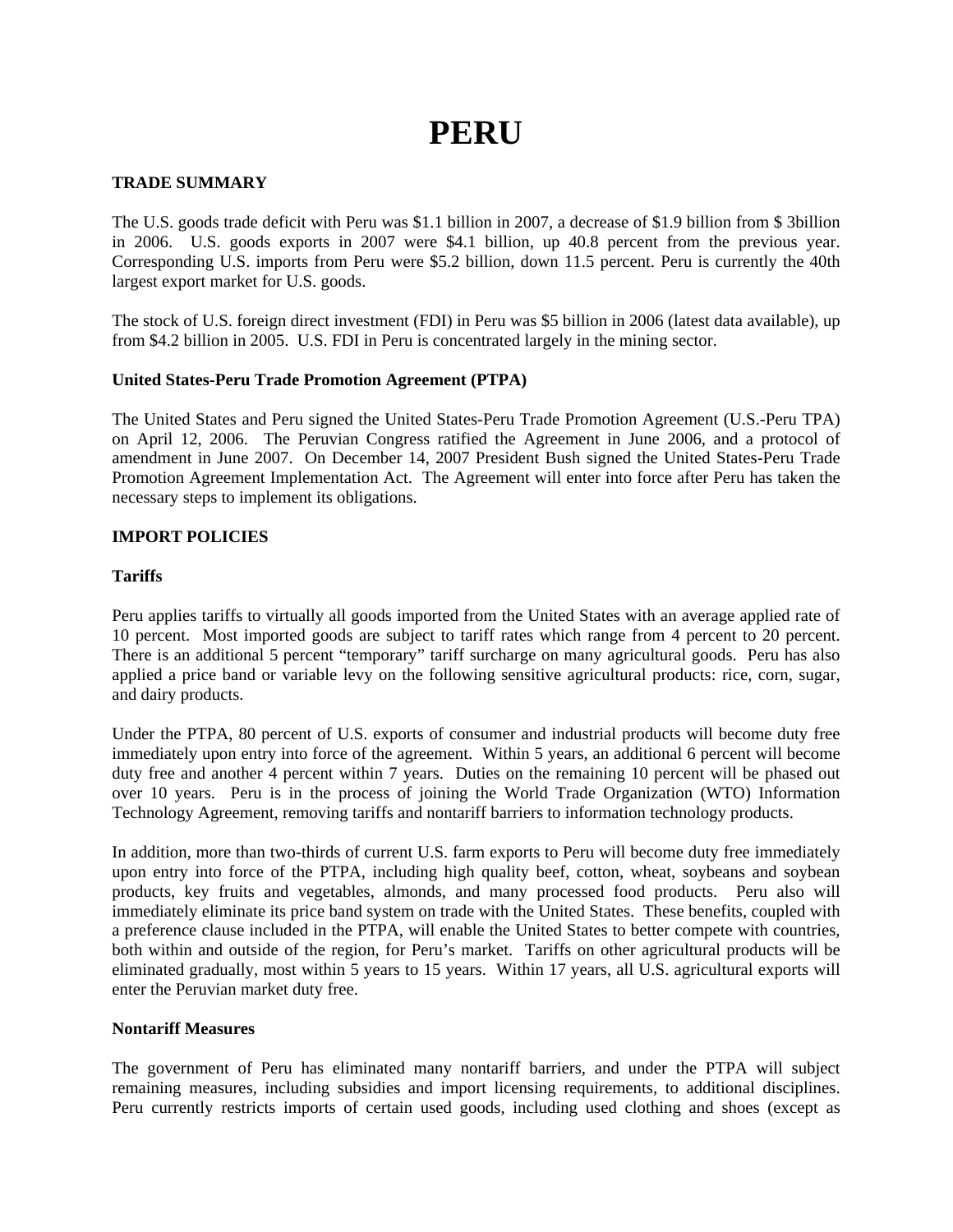# **PERU**

# **TRADE SUMMARY**

The U.S. goods trade deficit with Peru was \$1.1 billion in 2007, a decrease of \$1.9 billion from \$ 3billion in 2006. U.S. goods exports in 2007 were \$4.1 billion, up 40.8 percent from the previous year. Corresponding U.S. imports from Peru were \$5.2 billion, down 11.5 percent. Peru is currently the 40th largest export market for U.S. goods.

The stock of U.S. foreign direct investment (FDI) in Peru was \$5 billion in 2006 (latest data available), up from \$4.2 billion in 2005. U.S. FDI in Peru is concentrated largely in the mining sector.

# **United States-Peru Trade Promotion Agreement (PTPA)**

The United States and Peru signed the United States-Peru Trade Promotion Agreement (U.S.-Peru TPA) on April 12, 2006. The Peruvian Congress ratified the Agreement in June 2006, and a protocol of amendment in June 2007. On December 14, 2007 President Bush signed the United States-Peru Trade Promotion Agreement Implementation Act. The Agreement will enter into force after Peru has taken the necessary steps to implement its obligations.

## **IMPORT POLICIES**

# **Tariffs**

Peru applies tariffs to virtually all goods imported from the United States with an average applied rate of 10 percent. Most imported goods are subject to tariff rates which range from 4 percent to 20 percent. There is an additional 5 percent "temporary" tariff surcharge on many agricultural goods. Peru has also applied a price band or variable levy on the following sensitive agricultural products: rice, corn, sugar, and dairy products.

Under the PTPA, 80 percent of U.S. exports of consumer and industrial products will become duty free immediately upon entry into force of the agreement. Within 5 years, an additional 6 percent will become duty free and another 4 percent within 7 years. Duties on the remaining 10 percent will be phased out over 10 years. Peru is in the process of joining the World Trade Organization (WTO) Information Technology Agreement, removing tariffs and nontariff barriers to information technology products.

In addition, more than two-thirds of current U.S. farm exports to Peru will become duty free immediately upon entry into force of the PTPA, including high quality beef, cotton, wheat, soybeans and soybean products, key fruits and vegetables, almonds, and many processed food products. Peru also will immediately eliminate its price band system on trade with the United States. These benefits, coupled with a preference clause included in the PTPA, will enable the United States to better compete with countries, both within and outside of the region, for Peru's market. Tariffs on other agricultural products will be eliminated gradually, most within 5 years to 15 years. Within 17 years, all U.S. agricultural exports will enter the Peruvian market duty free.

## **Nontariff Measures**

The government of Peru has eliminated many nontariff barriers, and under the PTPA will subject remaining measures, including subsidies and import licensing requirements, to additional disciplines. Peru currently restricts imports of certain used goods, including used clothing and shoes (except as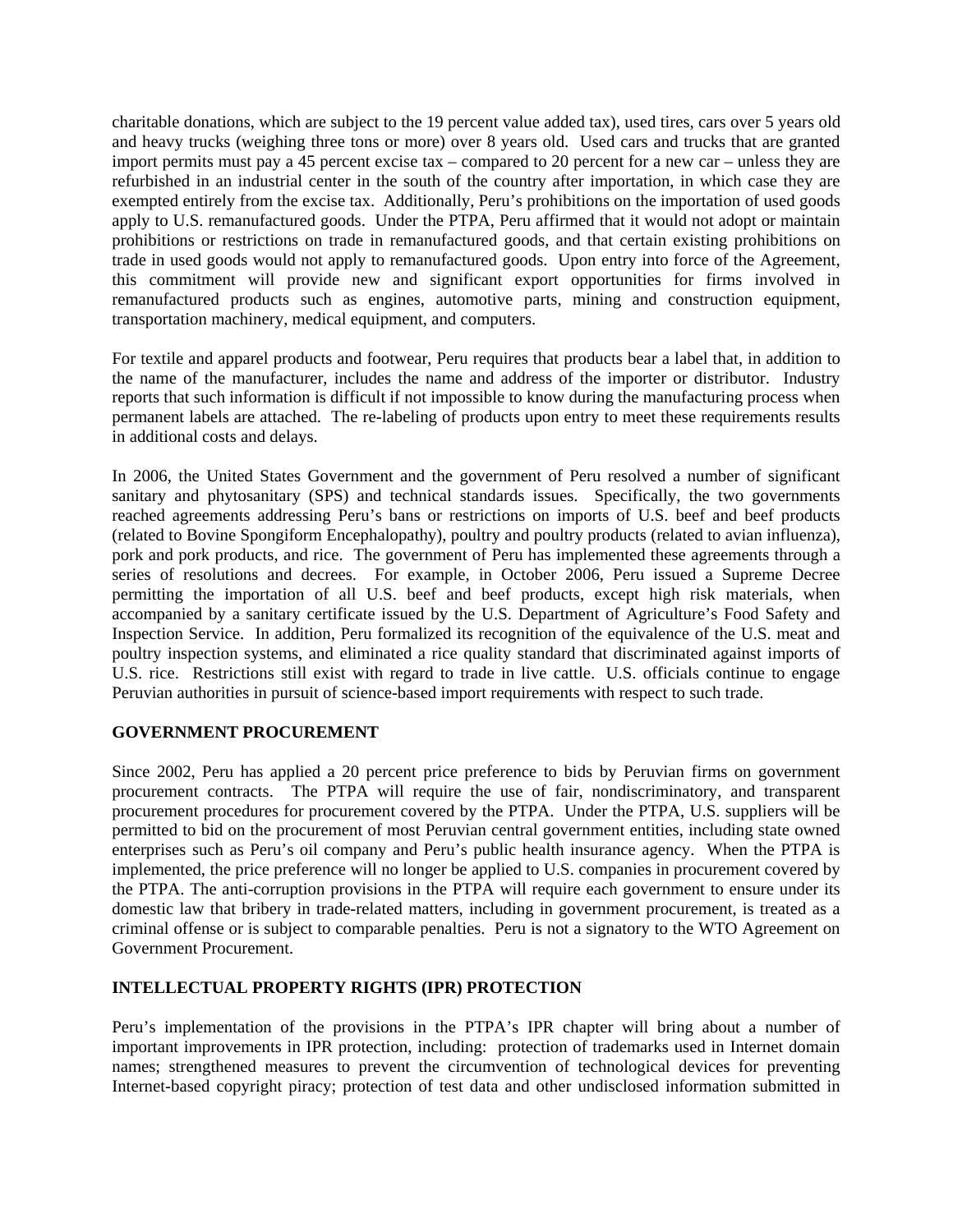charitable donations, which are subject to the 19 percent value added tax), used tires, cars over 5 years old and heavy trucks (weighing three tons or more) over 8 years old. Used cars and trucks that are granted import permits must pay a 45 percent excise tax – compared to 20 percent for a new car – unless they are refurbished in an industrial center in the south of the country after importation, in which case they are exempted entirely from the excise tax. Additionally, Peru's prohibitions on the importation of used goods apply to U.S. remanufactured goods. Under the PTPA, Peru affirmed that it would not adopt or maintain prohibitions or restrictions on trade in remanufactured goods, and that certain existing prohibitions on trade in used goods would not apply to remanufactured goods. Upon entry into force of the Agreement, this commitment will provide new and significant export opportunities for firms involved in remanufactured products such as engines, automotive parts, mining and construction equipment, transportation machinery, medical equipment, and computers.

For textile and apparel products and footwear, Peru requires that products bear a label that, in addition to the name of the manufacturer, includes the name and address of the importer or distributor. Industry reports that such information is difficult if not impossible to know during the manufacturing process when permanent labels are attached. The re-labeling of products upon entry to meet these requirements results in additional costs and delays.

In 2006, the United States Government and the government of Peru resolved a number of significant sanitary and phytosanitary (SPS) and technical standards issues. Specifically, the two governments reached agreements addressing Peru's bans or restrictions on imports of U.S. beef and beef products (related to Bovine Spongiform Encephalopathy), poultry and poultry products (related to avian influenza), pork and pork products, and rice. The government of Peru has implemented these agreements through a series of resolutions and decrees. For example, in October 2006, Peru issued a Supreme Decree permitting the importation of all U.S. beef and beef products, except high risk materials, when accompanied by a sanitary certificate issued by the U.S. Department of Agriculture's Food Safety and Inspection Service. In addition, Peru formalized its recognition of the equivalence of the U.S. meat and poultry inspection systems, and eliminated a rice quality standard that discriminated against imports of U.S. rice. Restrictions still exist with regard to trade in live cattle. U.S. officials continue to engage Peruvian authorities in pursuit of science-based import requirements with respect to such trade.

# **GOVERNMENT PROCUREMENT**

Since 2002, Peru has applied a 20 percent price preference to bids by Peruvian firms on government procurement contracts. The PTPA will require the use of fair, nondiscriminatory, and transparent procurement procedures for procurement covered by the PTPA. Under the PTPA, U.S. suppliers will be permitted to bid on the procurement of most Peruvian central government entities, including state owned enterprises such as Peru's oil company and Peru's public health insurance agency. When the PTPA is implemented, the price preference will no longer be applied to U.S. companies in procurement covered by the PTPA. The anti-corruption provisions in the PTPA will require each government to ensure under its domestic law that bribery in trade-related matters, including in government procurement, is treated as a criminal offense or is subject to comparable penalties. Peru is not a signatory to the WTO Agreement on Government Procurement.

# **INTELLECTUAL PROPERTY RIGHTS (IPR) PROTECTION**

Peru's implementation of the provisions in the PTPA's IPR chapter will bring about a number of important improvements in IPR protection, including: protection of trademarks used in Internet domain names; strengthened measures to prevent the circumvention of technological devices for preventing Internet-based copyright piracy; protection of test data and other undisclosed information submitted in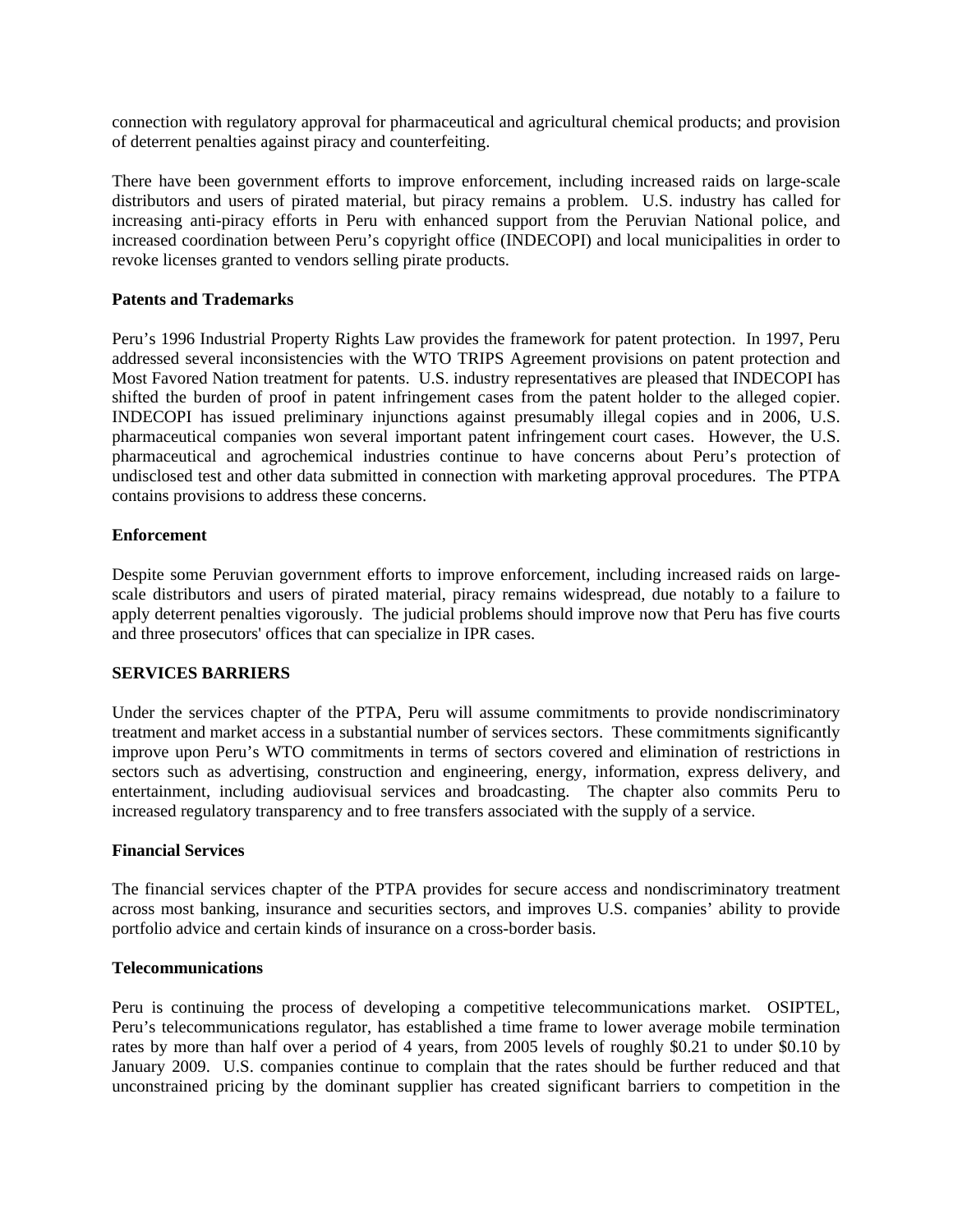connection with regulatory approval for pharmaceutical and agricultural chemical products; and provision of deterrent penalties against piracy and counterfeiting.

There have been government efforts to improve enforcement, including increased raids on large-scale distributors and users of pirated material, but piracy remains a problem. U.S. industry has called for increasing anti-piracy efforts in Peru with enhanced support from the Peruvian National police, and increased coordination between Peru's copyright office (INDECOPI) and local municipalities in order to revoke licenses granted to vendors selling pirate products.

## **Patents and Trademarks**

Peru's 1996 Industrial Property Rights Law provides the framework for patent protection. In 1997, Peru addressed several inconsistencies with the WTO TRIPS Agreement provisions on patent protection and Most Favored Nation treatment for patents. U.S. industry representatives are pleased that INDECOPI has shifted the burden of proof in patent infringement cases from the patent holder to the alleged copier. INDECOPI has issued preliminary injunctions against presumably illegal copies and in 2006, U.S. pharmaceutical companies won several important patent infringement court cases. However, the U.S. pharmaceutical and agrochemical industries continue to have concerns about Peru's protection of undisclosed test and other data submitted in connection with marketing approval procedures. The PTPA contains provisions to address these concerns.

## **Enforcement**

Despite some Peruvian government efforts to improve enforcement, including increased raids on largescale distributors and users of pirated material, piracy remains widespread, due notably to a failure to apply deterrent penalties vigorously. The judicial problems should improve now that Peru has five courts and three prosecutors' offices that can specialize in IPR cases.

### **SERVICES BARRIERS**

Under the services chapter of the PTPA, Peru will assume commitments to provide nondiscriminatory treatment and market access in a substantial number of services sectors. These commitments significantly improve upon Peru's WTO commitments in terms of sectors covered and elimination of restrictions in sectors such as advertising, construction and engineering, energy, information, express delivery, and entertainment, including audiovisual services and broadcasting. The chapter also commits Peru to increased regulatory transparency and to free transfers associated with the supply of a service.

### **Financial Services**

The financial services chapter of the PTPA provides for secure access and nondiscriminatory treatment across most banking, insurance and securities sectors, and improves U.S. companies' ability to provide portfolio advice and certain kinds of insurance on a cross-border basis.

### **Telecommunications**

Peru is continuing the process of developing a competitive telecommunications market. OSIPTEL, Peru's telecommunications regulator, has established a time frame to lower average mobile termination rates by more than half over a period of 4 years, from 2005 levels of roughly \$0.21 to under \$0.10 by January 2009. U.S. companies continue to complain that the rates should be further reduced and that unconstrained pricing by the dominant supplier has created significant barriers to competition in the